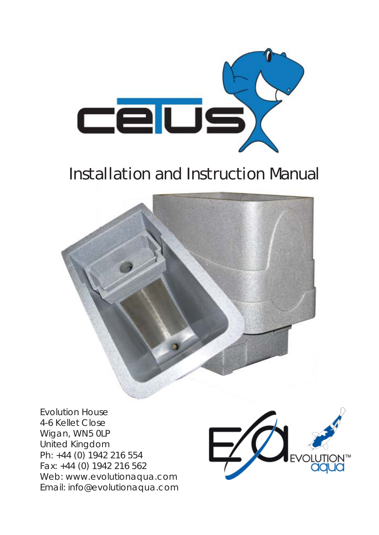

# Installation and Instruction Manual



Evolution House 4-6 Kellet Close Wigan, WN5 0LP United Kingdom Ph: +44 (0) 1942 216 554 Fax: +44 (0) 1942 216 562 Web: www.evolutionaqua.com Email: info@evolutionaqua.com

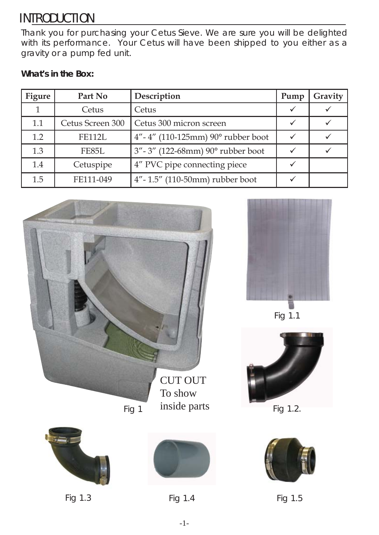## INTRODUCTION

Thank you for purchasing your Cetus Sieve. We are sure you will be delighted with its performance. Your Cetus will have been shipped to you either as a gravity or a pump fed unit.

### **What's in the Box:**

| <b>Figure</b> | Part No          | Description                                       | Pump | Gravity |
|---------------|------------------|---------------------------------------------------|------|---------|
|               | Cetus            | Cetus                                             |      |         |
| 1.1           | Cetus Screen 300 | Cetus 300 micron screen                           |      |         |
| 1.2           | <b>FE112L</b>    | $4'' - 4''$ (110-125mm) 90 $^{\circ}$ rubber boot |      |         |
| 1.3           | FE85L            | 3" - 3" (122-68mm) 90° rubber boot                |      |         |
| 1.4           | Cetuspipe        | 4" PVC pipe connecting piece                      |      |         |
| 1.5           | FE111-049        | 4"-1.5" (110-50mm) rubber boot                    |      |         |



Fig 1

inside parts







Fig 1.1



Fig 1.2.



Fig 1.3 Fig 1.4 Fig 1.5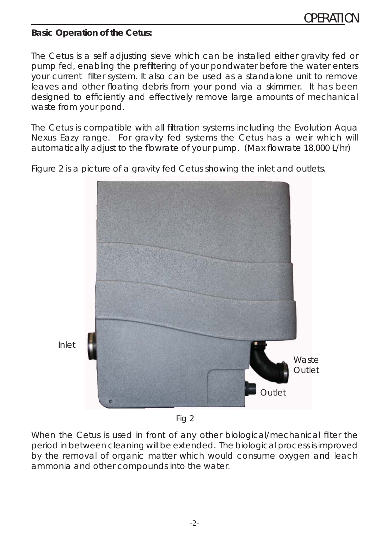#### **Basic Operation of the Cetus:**

The Cetus is a self adjusting sieve which can be installed either gravity fed or pump fed, enabling the prefiltering of your pondwater before the water enters your current filter system. It also can be used as a standalone unit to remove leaves and other floating debris from your pond via a skimmer. It has been designed to efficiently and effectively remove large amounts of mechanical waste from your pond.

The Cetus is compatible with all filtration systems including the Evolution Aqua Nexus Eazy range. For gravity fed systems the Cetus has a weir which will automatically adjust to the flowrate of your pump. (Max flowrate 18,000 L/hr)



Figure 2 is a picture of a gravity fed Cetus showing the inlet and outlets.

Fig 2

When the Cetus is used in front of any other biological/mechanical filter the period in between cleaning will be extended. The biological process is improved by the removal of organic matter which would consume oxygen and leach ammonia and other compounds into the water.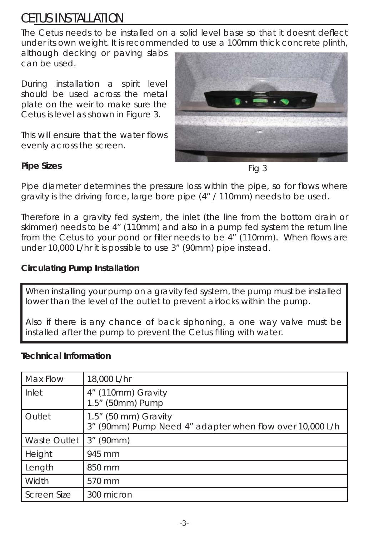## CETUS INSTALLATION

The Cetus needs to be installed on a solid level base so that it doesnt deflect under its own weight. It is recommended to use a 100mm thick concrete plinth,

although decking or paving slabs can be used.

During installation a spirit level should be used across the metal plate on the weir to make sure the Cetus is level as shown in Figure 3.

This will ensure that the water flows evenly across the screen.



#### **Pipe Sizes**

Fig 3

Pipe diameter determines the pressure loss within the pipe, so for flows where gravity is the driving force, large bore pipe (4" / 110mm) needs to be used.

Therefore in a gravity fed system, the inlet (the line from the bottom drain or skimmer) needs to be 4" (110mm) and also in a pump fed system the return line from the Cetus to your pond or filter needs to be 4" (110mm). When flows are under 10,000 L/hr it is possible to use 3" (90mm) pipe instead.

#### **Circulating Pump Installation**

When installing your pump on a gravity fed system, the pump must be installed lower than the level of the outlet to prevent airlocks within the pump.

Also if there is any chance of back siphoning, a one way valve must be installed after the pump to prevent the Cetus filling with water.

#### **Technical Information**

| Max Flow            | 18,000 L/hr                                                                         |
|---------------------|-------------------------------------------------------------------------------------|
| Inlet               | 4" (110mm) Gravity<br>1.5" (50mm) Pump                                              |
| Outlet              | $1.5$ " (50 mm) Gravity<br>3" (90mm) Pump Need 4" adapter when flow over 10,000 L/h |
| <b>Waste Outlet</b> | $3''$ (90mm)                                                                        |
| Height              | 945 mm                                                                              |
| Length              | 850 mm                                                                              |
| Width               | 570 mm                                                                              |
| <b>Screen Size</b>  | 300 micron                                                                          |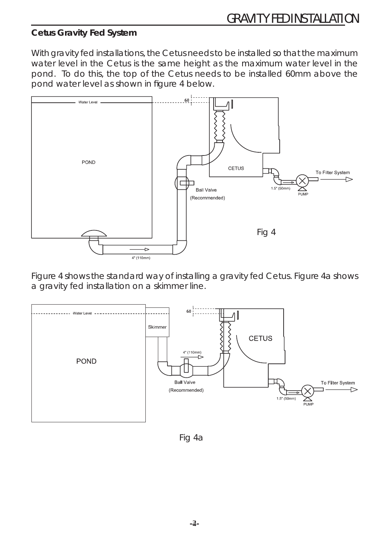#### **Cetus Gravity Fed System**

With gravity fed installations, the Cetus needs to be installed so that the maximum water level in the Cetus is the same height as the maximum water level in the pond. To do this, the top of the Cetus needs to be installed 60mm above the pond water level as shown in figure 4 below.



Figure 4 shows the standard way of installing a gravity fed Cetus. Figure 4a shows a gravity fed installation on a skimmer line.



Fig 4a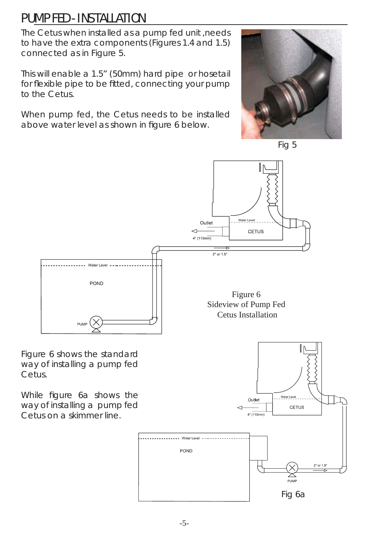### PUMP FED - INSTALLATION

The Cetus when installed as a pump fed unit ,needs to have the extra components (Figures 1.4 and 1.5) connected as in Figure 5.

This will enable a 1.5" (50mm) hard pipe or hosetail for flexible pipe to be fitted, connecting your pump to the Cetus.

When pump fed, the Cetus needs to be installed above water level as shown in figure 6 below.





Water Level

CETUS



Figure 6 shows the standard way of installing a pump fed Cetus.

While figure 6a shows the way of installing a pump fed Cetus on a skimmer line.



Outlet

 $4"$  (110mm)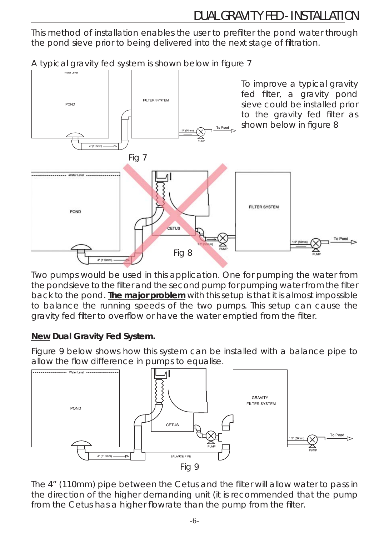### DUAL GRAVITY FED - INSTALLATION

This method of installation enables the user to prefilter the pond water through the pond sieve prior to being delivered into the next stage of filtration.

A typical gravity fed system is shown below in figure 7



Two pumps would be used in this application. One for pumping the water from the pondsieve to the filter and the second pump for pumping water from the filter back to the pond. **The major problem** with this setup is that it is almost impossible to balance the running speeds of the two pumps. This setup can cause the gravity fed filter to overflow or have the water emptied from the filter.

### **New Dual Gravity Fed System.**

Figure 9 below shows how this system can be installed with a balance pipe to allow the flow difference in pumps to equalise.



The 4" (110mm) pipe between the Cetus and the filter will allow water to pass in the direction of the higher demanding unit (it is recommended that the pump from the Cetus has a higher flowrate than the pump from the filter.